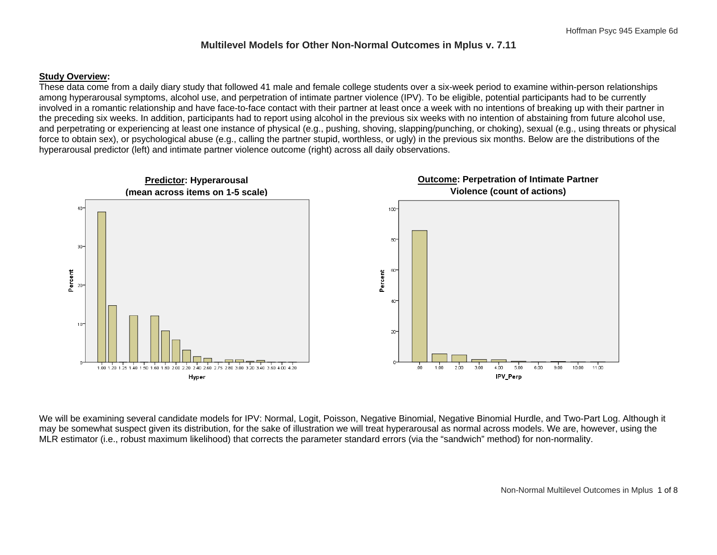### **Multilevel Models for Other Non-Normal Outcomes in Mplus v. 7.11**

### **Study Overview:**

These data come from a daily diary study that followed 41 male and female college students over a six-week period to examine within-person relationships among hyperarousal symptoms, alcohol use, and perpetration of intimate partner violence (IPV). To be eligible, potential participants had to be currently involved in a romantic relationship and have face-to-face contact with their partner at least once a week with no intentions of breaking up with their partner in the preceding six weeks. In addition, participants had to report using alcohol in the previous six weeks with no intention of abstaining from future alcohol use, and perpetrating or experiencing at least one instance of physical (e.g., pushing, shoving, slapping/punching, or choking), sexual (e.g., using threats or physical force to obtain sex), or psychological abuse (e.g., calling the partner stupid, worthless, or ugly) in the previous six months. Below are the distributions of the hyperarousal predictor (left) and intimate partner violence outcome (right) across all daily observations.



We will be examining several candidate models for IPV: Normal, Logit, Poisson, Negative Binomial, Negative Binomial Hurdle, and Two-Part Log. Although it may be somewhat suspect given its distribution, for the sake of illustration we will treat hyperarousal as normal across models. We are, however, using the MLR estimator (i.e., robust maximum likelihood) that corrects the parameter standard errors (via the "sandwich" method) for non-normality.

Non-Normal Multilevel Outcomes in Mplus 1 of 8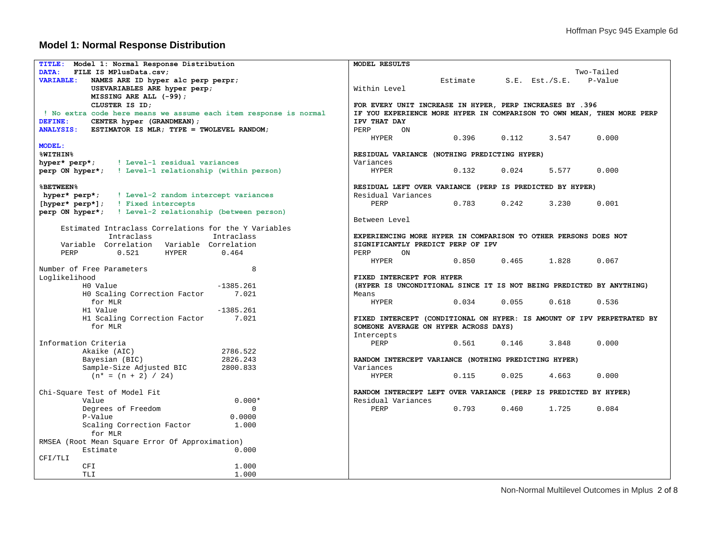## **Model 1: Normal Response Distribution**

| TITLE: Model 1: Normal Response Distribution                      | MODEL RESULTS                                                          |  |  |  |  |  |
|-------------------------------------------------------------------|------------------------------------------------------------------------|--|--|--|--|--|
| DATA:<br>FILE IS MPlusData.csv:                                   | Two-Tailed                                                             |  |  |  |  |  |
| <b>VARIABLE:</b><br>NAMES ARE ID hyper alc perp perpr;            | Estimate<br>P-Value<br>S.E. Est./S.E.                                  |  |  |  |  |  |
| USEVARIABLES ARE hyper perp;                                      | Within Level                                                           |  |  |  |  |  |
| MISSING ARE ALL (-99);                                            |                                                                        |  |  |  |  |  |
| CLUSTER IS ID:                                                    | FOR EVERY UNIT INCREASE IN HYPER, PERP INCREASES BY .396               |  |  |  |  |  |
| ! No extra code here means we assume each item response is normal | IF YOU EXPERIENCE MORE HYPER IN COMPARISON TO OWN MEAN, THEN MORE PERP |  |  |  |  |  |
| DEFINE:<br>CENTER hyper (GRANDMEAN) ;                             | IPV THAT DAY                                                           |  |  |  |  |  |
| $ANALYSIS:$ ESTIMATOR IS MLR; TYPE = TWOLEVEL RANDOM;             | PERP<br>ON                                                             |  |  |  |  |  |
|                                                                   | 0.396<br>3.547<br>0.000<br><b>HYPER</b><br>0.112                       |  |  |  |  |  |
| <b>MODEL:</b>                                                     |                                                                        |  |  |  |  |  |
| <b>%WITHIN%</b>                                                   | RESIDUAL VARIANCE (NOTHING PREDICTING HYPER)                           |  |  |  |  |  |
| ! Level-1 residual variances<br>hyper* perp*;                     | Variances                                                              |  |  |  |  |  |
| perp ON hyper*; ! Level-1 relationship (within person)            | <b>HYPER</b><br>0.132<br>0.024<br>5.577<br>0.000                       |  |  |  |  |  |
|                                                                   |                                                                        |  |  |  |  |  |
| <b>&amp;BETWEEN%</b>                                              | RESIDUAL LEFT OVER VARIANCE (PERP IS PREDICTED BY HYPER)               |  |  |  |  |  |
| hyper* perp*;<br>! Level-2 random intercept variances             | Residual Variances                                                     |  |  |  |  |  |
| [hyper* perp*];   Fixed intercepts                                | 0.242<br>PERP<br>0.783<br>3.230<br>0.001                               |  |  |  |  |  |
| perp ON hyper*; ! Level-2 relationship (between person)           |                                                                        |  |  |  |  |  |
|                                                                   | Between Level                                                          |  |  |  |  |  |
| Estimated Intraclass Correlations for the Y Variables             |                                                                        |  |  |  |  |  |
| Intraclass<br>Intraclass                                          | EXPERIENCING MORE HYPER IN COMPARISON TO OTHER PERSONS DOES NOT        |  |  |  |  |  |
| Variable Correlation Variable Correlation                         | SIGNIFICANTLY PREDICT PERP OF IPV                                      |  |  |  |  |  |
| 0.464<br>PERP<br>0.521<br><b>HYPER</b>                            | PERP<br>ON                                                             |  |  |  |  |  |
|                                                                   | <b>HYPER</b><br>0.850<br>0.465<br>1.828<br>0.067                       |  |  |  |  |  |
| 8<br>Number of Free Parameters                                    |                                                                        |  |  |  |  |  |
| Loglikelihood                                                     | FIXED INTERCEPT FOR HYPER                                              |  |  |  |  |  |
| $-1385.261$<br>H0 Value                                           | (HYPER IS UNCONDITIONAL SINCE IT IS NOT BEING PREDICTED BY ANYTHING)   |  |  |  |  |  |
| HO Scaling Correction Factor<br>7.021                             | Means                                                                  |  |  |  |  |  |
| for MLR                                                           | 0.034<br>0.055<br>0.536<br>HYPER<br>0.618                              |  |  |  |  |  |
| H1 Value<br>$-1385.261$                                           |                                                                        |  |  |  |  |  |
| H1 Scaling Correction Factor<br>7.021                             | FIXED INTERCEPT (CONDITIONAL ON HYPER: IS AMOUNT OF IPV PERPETRATED BY |  |  |  |  |  |
| for MLR                                                           | SOMEONE AVERAGE ON HYPER ACROSS DAYS)                                  |  |  |  |  |  |
|                                                                   | Intercepts                                                             |  |  |  |  |  |
| Information Criteria                                              | PERP<br>0.561<br>0.146<br>3.848<br>0.000                               |  |  |  |  |  |
| Akaike (AIC)<br>2786.522                                          |                                                                        |  |  |  |  |  |
| Bayesian (BIC)<br>2826.243                                        | RANDOM INTERCEPT VARIANCE (NOTHING PREDICTING HYPER)                   |  |  |  |  |  |
| 2800.833<br>Sample-Size Adjusted BIC                              | Variances                                                              |  |  |  |  |  |
| $(n^* = (n + 2) / 24)$                                            | 0.025<br>0.000<br><b>HYPER</b><br>0.115<br>4.663                       |  |  |  |  |  |
|                                                                   |                                                                        |  |  |  |  |  |
| Chi-Square Test of Model Fit                                      | RANDOM INTERCEPT LEFT OVER VARIANCE (PERP IS PREDICTED BY HYPER)       |  |  |  |  |  |
| $0.000*$<br>Value                                                 | Residual Variances                                                     |  |  |  |  |  |
| Degrees of Freedom<br>$\Omega$                                    | 0.793<br>0.460<br>1.725<br>PERP<br>0.084                               |  |  |  |  |  |
| P-Value<br>0.0000                                                 |                                                                        |  |  |  |  |  |
| Scaling Correction Factor<br>1,000                                |                                                                        |  |  |  |  |  |
| for MLR                                                           |                                                                        |  |  |  |  |  |
| RMSEA (Root Mean Square Error Of Approximation)                   |                                                                        |  |  |  |  |  |
| Estimate<br>0.000                                                 |                                                                        |  |  |  |  |  |
| CFI/TLI                                                           |                                                                        |  |  |  |  |  |
| CFI<br>1,000                                                      |                                                                        |  |  |  |  |  |
| 1,000<br>TLI                                                      |                                                                        |  |  |  |  |  |

Non-Normal Multilevel Outcomes in Mplus 2 of 8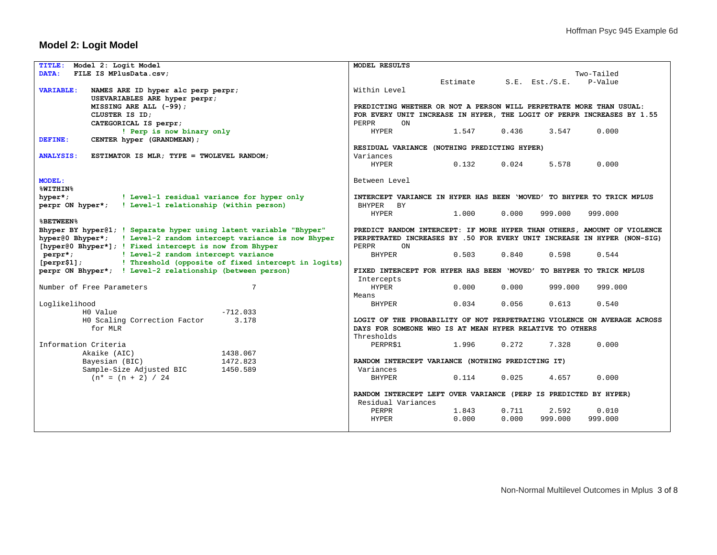## **Model 2: Logit Model**

| Model 2: Logit Model<br><b>TITLE:</b>                              | MODEL RESULTS                                                           |  |  |  |  |  |
|--------------------------------------------------------------------|-------------------------------------------------------------------------|--|--|--|--|--|
| DATA:<br>FILE IS MPlusData.csv;                                    | Two-Tailed                                                              |  |  |  |  |  |
|                                                                    | Estimate<br>P-Value<br>$S.E.$ Est./ $S.E.$                              |  |  |  |  |  |
| NAMES ARE ID hyper alc perp perpr;<br><b>VARIABLE:</b>             | Within Level                                                            |  |  |  |  |  |
| USEVARIABLES ARE hyper perpr;                                      |                                                                         |  |  |  |  |  |
| MISSING ARE ALL (-99);                                             | PREDICTING WHETHER OR NOT A PERSON WILL PERPETRATE MORE THAN USUAL:     |  |  |  |  |  |
| CLUSTER IS ID:                                                     | FOR EVERY UNIT INCREASE IN HYPER, THE LOGIT OF PERPR INCREASES BY 1.55  |  |  |  |  |  |
| CATEGORICAL IS perpr;                                              | PERPR<br>ON                                                             |  |  |  |  |  |
| ! Perp is now binary only                                          | <b>HYPER</b><br>1.547<br>0.436<br>3.547<br>0.000                        |  |  |  |  |  |
| CENTER hyper (GRANDMEAN) ;<br>DEFINE:                              |                                                                         |  |  |  |  |  |
|                                                                    | RESIDUAL VARIANCE (NOTHING PREDICTING HYPER)                            |  |  |  |  |  |
| <b>ANALYSIS:</b><br>ESTIMATOR IS MLR; TYPE = TWOLEVEL RANDOM;      | Variances                                                               |  |  |  |  |  |
|                                                                    | 0.132<br>0.024<br>5.578<br>0.000<br><b>HYPER</b>                        |  |  |  |  |  |
|                                                                    |                                                                         |  |  |  |  |  |
| <b>MODEL:</b>                                                      | Between Level                                                           |  |  |  |  |  |
| <b>%WITHIN%</b>                                                    |                                                                         |  |  |  |  |  |
| hyper*;<br>! Level-1 residual variance for hyper only              | INTERCEPT VARIANCE IN HYPER HAS BEEN 'MOVED' TO BHYPER TO TRICK MPLUS   |  |  |  |  |  |
|                                                                    |                                                                         |  |  |  |  |  |
| ! Level-1 relationship (within person)<br>perpr ON hyper*;         | BHYPER<br>BY                                                            |  |  |  |  |  |
|                                                                    | 0.000<br><b>HYPER</b><br>1,000<br>999.000<br>999.000                    |  |  |  |  |  |
| <b>&amp;BETWEEN%</b>                                               |                                                                         |  |  |  |  |  |
| Bhyper BY hyper@1; ! Separate hyper using latent variable "Bhyper" | PREDICT RANDOM INTERCEPT: IF MORE HYPER THAN OTHERS, AMOUNT OF VIOLENCE |  |  |  |  |  |
| hyper@0 Bhyper*; ! Level-2 random intercept variance is now Bhyper | PERPETRATED INCREASES BY .50 FOR EVERY UNIT INCREASE IN HYPER (NON-SIG) |  |  |  |  |  |
| [hyper@0 Bhyper*]; ! Fixed intercept is now from Bhyper            | PERPR<br>ON                                                             |  |  |  |  |  |
| ! Level-2 random intercept variance<br>perpr*;                     | <b>BHYPER</b><br>0.503<br>0.840<br>0.598<br>0.544                       |  |  |  |  |  |
| [perpr\$1];<br>! Threshold (opposite of fixed intercept in logits) |                                                                         |  |  |  |  |  |
| perpr ON Bhyper*; ! Level-2 relationship (between person)          | FIXED INTERCEPT FOR HYPER HAS BEEN 'MOVED' TO BHYPER TO TRICK MPLUS     |  |  |  |  |  |
|                                                                    | Intercepts                                                              |  |  |  |  |  |
| Number of Free Parameters<br>7                                     | 0.000<br><b>HYPER</b><br>0.000<br>999.000<br>999.000                    |  |  |  |  |  |
|                                                                    | Means                                                                   |  |  |  |  |  |
| Loglikelihood                                                      | 0.034<br>0.056<br>0.540<br><b>BHYPER</b><br>0.613                       |  |  |  |  |  |
| $-712.033$<br>HO Value                                             |                                                                         |  |  |  |  |  |
| 3.178<br>H0 Scaling Correction Factor                              | LOGIT OF THE PROBABILITY OF NOT PERPETRATING VIOLENCE ON AVERAGE ACROSS |  |  |  |  |  |
| for MLR                                                            | DAYS FOR SOMEONE WHO IS AT MEAN HYPER RELATIVE TO OTHERS                |  |  |  |  |  |
|                                                                    | Thresholds                                                              |  |  |  |  |  |
| Information Criteria                                               | PERPR\$1<br>1.996<br>0.272<br>7.328<br>0.000                            |  |  |  |  |  |
| 1438.067<br>Akaike (AIC)                                           |                                                                         |  |  |  |  |  |
| 1472.823<br>Bayesian (BIC)                                         | RANDOM INTERCEPT VARIANCE (NOTHING PREDICTING IT)                       |  |  |  |  |  |
| 1450.589<br>Sample-Size Adjusted BIC                               | Variances                                                               |  |  |  |  |  |
| $(n* = (n + 2) / 24)$                                              | BHYPER<br>0.025<br>0.000<br>0.114<br>4.657                              |  |  |  |  |  |
|                                                                    |                                                                         |  |  |  |  |  |
|                                                                    | RANDOM INTERCEPT LEFT OVER VARIANCE (PERP IS PREDICTED BY HYPER)        |  |  |  |  |  |
|                                                                    | Residual Variances                                                      |  |  |  |  |  |
|                                                                    | 0.711<br>PERPR<br>1.843<br>2.592<br>0.010                               |  |  |  |  |  |
|                                                                    | 0.000<br>0.000<br>999.000<br>999.000<br><b>HYPER</b>                    |  |  |  |  |  |
|                                                                    |                                                                         |  |  |  |  |  |
|                                                                    |                                                                         |  |  |  |  |  |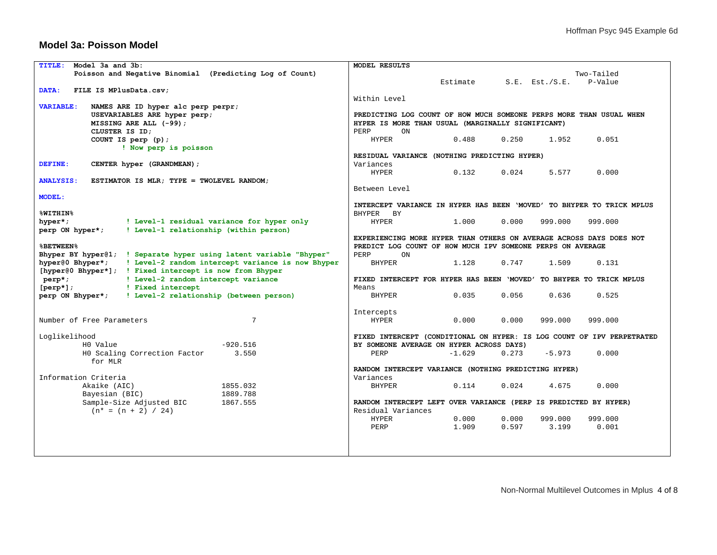#### **Model 3a: Poisson Model**

| <b>TITLE:</b><br>Model 3a and 3b:                                     | MODEL RESULTS                                                          |  |  |  |  |  |  |
|-----------------------------------------------------------------------|------------------------------------------------------------------------|--|--|--|--|--|--|
| Poisson and Negative Binomial (Predicting Log of Count)               | Two-Tailed                                                             |  |  |  |  |  |  |
|                                                                       | Estimate<br>P-Value<br>$S.E.$ Est./ $S.E.$                             |  |  |  |  |  |  |
| DATA:<br>FILE IS MPlusData.csv;                                       |                                                                        |  |  |  |  |  |  |
|                                                                       | Within Level                                                           |  |  |  |  |  |  |
| <b>VARIABLE:</b><br>NAMES ARE ID hyper alc perp perpr;                |                                                                        |  |  |  |  |  |  |
| USEVARIABLES ARE hyper perp;                                          | PREDICTING LOG COUNT OF HOW MUCH SOMEONE PERPS MORE THAN USUAL WHEN    |  |  |  |  |  |  |
| MISSING ARE ALL (-99);                                                | HYPER IS MORE THAN USUAL (MARGINALLY SIGNIFICANT)                      |  |  |  |  |  |  |
| CLUSTER IS ID:                                                        | PERP<br>ON                                                             |  |  |  |  |  |  |
| COUNT IS perp $(p)$ ;                                                 | 0.488<br>0.250<br>1.952<br>0.051<br><b>HYPER</b>                       |  |  |  |  |  |  |
| ! Now perp is poisson                                                 |                                                                        |  |  |  |  |  |  |
|                                                                       | RESIDUAL VARIANCE (NOTHING PREDICTING HYPER)                           |  |  |  |  |  |  |
| DEFINE:<br>CENTER hyper (GRANDMEAN) ;                                 | Variances                                                              |  |  |  |  |  |  |
|                                                                       | 0.132<br>0.024<br>5.577<br>0.000<br><b>HYPER</b>                       |  |  |  |  |  |  |
| <b>ANALYSIS:</b><br>ESTIMATOR IS MLR; TYPE = TWOLEVEL RANDOM;         |                                                                        |  |  |  |  |  |  |
|                                                                       | Between Level                                                          |  |  |  |  |  |  |
| <b>MODEL:</b>                                                         |                                                                        |  |  |  |  |  |  |
|                                                                       | INTERCEPT VARIANCE IN HYPER HAS BEEN 'MOVED' TO BHYPER TO TRICK MPLUS  |  |  |  |  |  |  |
| %WITHIN%                                                              | BHYPER BY                                                              |  |  |  |  |  |  |
| hyper*;<br>! Level-1 residual variance for hyper only                 | <b>HYPER</b><br>1.000<br>0.000<br>999.000<br>999.000                   |  |  |  |  |  |  |
| ! Level-1 relationship (within person)<br>perp ON hyper*;             |                                                                        |  |  |  |  |  |  |
|                                                                       | EXPERIENCING MORE HYPER THAN OTHERS ON AVERAGE ACROSS DAYS DOES NOT    |  |  |  |  |  |  |
| <b>%BETWEEN%</b>                                                      | PREDICT LOG COUNT OF HOW MUCH IPV SOMEONE PERPS ON AVERAGE             |  |  |  |  |  |  |
| Bhyper BY hyper@1; ! Separate hyper using latent variable "Bhyper"    | PERP<br>ON                                                             |  |  |  |  |  |  |
| ! Level-2 random intercept variance is now Bhyper<br>hyper@0 Bhyper*; | <b>BHYPER</b><br>1.128<br>0.747<br>1.509<br>0.131                      |  |  |  |  |  |  |
| [hyper@0 Bhyper*]; ! Fixed intercept is now from Bhyper               |                                                                        |  |  |  |  |  |  |
| ! Level-2 random intercept variance<br>$perp$ ;                       | FIXED INTERCEPT FOR HYPER HAS BEEN 'MOVED' TO BHYPER TO TRICK MPLUS    |  |  |  |  |  |  |
| $[perp]$ ;<br>! Fixed intercept                                       | Means                                                                  |  |  |  |  |  |  |
| perp ON Bhyper*;<br>! Level-2 relationship (between person)           | 0.035<br>0.056<br>0.636<br>0.525<br><b>BHYPER</b>                      |  |  |  |  |  |  |
|                                                                       |                                                                        |  |  |  |  |  |  |
|                                                                       | Intercepts                                                             |  |  |  |  |  |  |
| $7\phantom{.0}$<br>Number of Free Parameters                          | <b>HYPER</b><br>0.000<br>0.000<br>999.000<br>999.000                   |  |  |  |  |  |  |
|                                                                       |                                                                        |  |  |  |  |  |  |
| Loglikelihood                                                         | FIXED INTERCEPT (CONDITIONAL ON HYPER: IS LOG COUNT OF IPV PERPETRATED |  |  |  |  |  |  |
| $-920.516$<br>HO Value                                                | BY SOMEONE AVERAGE ON HYPER ACROSS DAYS)                               |  |  |  |  |  |  |
| HO Scaling Correction Factor<br>3.550                                 | $-5.973$<br>0.000<br>PERP<br>$-1.629$<br>0.273                         |  |  |  |  |  |  |
| for MLR                                                               |                                                                        |  |  |  |  |  |  |
|                                                                       | RANDOM INTERCEPT VARIANCE (NOTHING PREDICTING HYPER)                   |  |  |  |  |  |  |
| Information Criteria                                                  | Variances                                                              |  |  |  |  |  |  |
| 1855.032<br>Akaike (AIC)                                              | 0.024<br>0.000<br><b>BHYPER</b><br>0.114<br>4.675                      |  |  |  |  |  |  |
| 1889.788<br>Bayesian (BIC)                                            |                                                                        |  |  |  |  |  |  |
| Sample-Size Adjusted BIC<br>1867.555                                  | RANDOM INTERCEPT LEFT OVER VARIANCE (PERP IS PREDICTED BY HYPER)       |  |  |  |  |  |  |
| $(n* = (n + 2) / 24)$                                                 | Residual Variances                                                     |  |  |  |  |  |  |
|                                                                       | <b>HYPER</b><br>0.000<br>0.000<br>999.000<br>999.000                   |  |  |  |  |  |  |
|                                                                       | 1,909<br>0.597<br>3.199<br>0.001<br>PERP                               |  |  |  |  |  |  |
|                                                                       |                                                                        |  |  |  |  |  |  |
|                                                                       |                                                                        |  |  |  |  |  |  |
|                                                                       |                                                                        |  |  |  |  |  |  |
|                                                                       |                                                                        |  |  |  |  |  |  |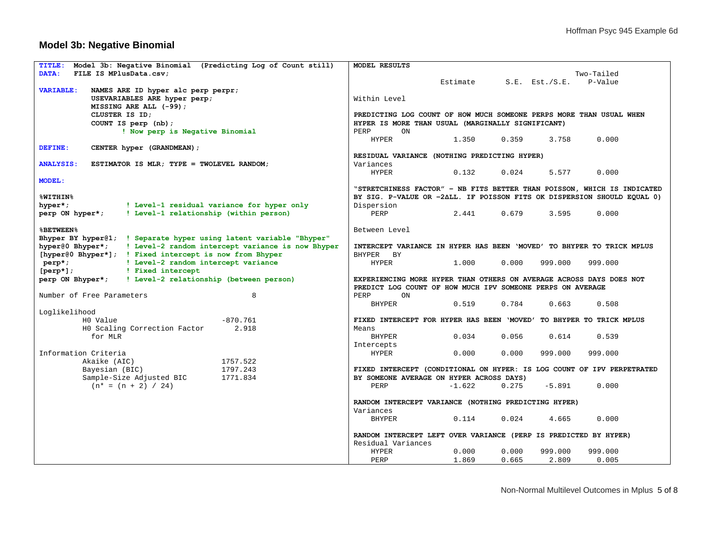## **Model 3b: Negative Binomial**

| <b>TITLE:</b><br>Model 3b: Negative Binomial (Predicting Log of Count still) | MODEL RESULTS                                                                                                                     |
|------------------------------------------------------------------------------|-----------------------------------------------------------------------------------------------------------------------------------|
| DATA:<br>FILE IS MPlusData.csv;                                              | Two-Tailed                                                                                                                        |
|                                                                              | Estimate<br>P-Value<br>$S.E.$ Est./ $S.E.$                                                                                        |
| <b>VARIABLE:</b><br>NAMES ARE ID hyper alc perp perpr;                       |                                                                                                                                   |
| USEVARIABLES ARE hyper perp;                                                 | Within Level                                                                                                                      |
| MISSING ARE ALL (-99);                                                       |                                                                                                                                   |
| CLUSTER IS ID:                                                               | PREDICTING LOG COUNT OF HOW MUCH SOMEONE PERPS MORE THAN USUAL WHEN                                                               |
| COUNT IS perp (nb);                                                          | HYPER IS MORE THAN USUAL (MARGINALLY SIGNIFICANT)                                                                                 |
| ! Now perp is Negative Binomial                                              | PERP<br>ON                                                                                                                        |
|                                                                              | <b>HYPER</b><br>0.000<br>1.350<br>0.359<br>3.758                                                                                  |
| DEFINE:<br>CENTER hyper (GRANDMEAN) ;                                        |                                                                                                                                   |
|                                                                              | RESIDUAL VARIANCE (NOTHING PREDICTING HYPER)                                                                                      |
| <b>ANALYSIS:</b><br>ESTIMATOR IS MLR; TYPE = TWOLEVEL RANDOM;                | Variances                                                                                                                         |
|                                                                              |                                                                                                                                   |
|                                                                              | <b>HYPER</b><br>0.132<br>0.024<br>5.577<br>0.000                                                                                  |
| <b>MODEL:</b>                                                                |                                                                                                                                   |
|                                                                              | "STRETCHINESS FACTOR" - NB FITS BETTER THAN POISSON, WHICH IS INDICATED                                                           |
| <b>%WITHIN%</b>                                                              | BY SIG. P-VALUE OR -2ALL. IF POISSON FITS OK DISPERSION SHOULD EQUAL 0)                                                           |
| ! Level-1 residual variance for hyper only<br>hyper*;                        | Dispersion                                                                                                                        |
| ! Level-1 relationship (within person)<br>perp ON hyper*;                    | PERP<br>2.441<br>0.679<br>3.595<br>0.000                                                                                          |
|                                                                              |                                                                                                                                   |
| <b>%BETWEEN%</b>                                                             | Between Level                                                                                                                     |
| Bhyper BY hyper@1; ! Separate hyper using latent variable "Bhyper"           |                                                                                                                                   |
| hyper@0 Bhyper*;<br>! Level-2 random intercept variance is now Bhyper        | INTERCEPT VARIANCE IN HYPER HAS BEEN 'MOVED' TO BHYPER TO TRICK MPLUS                                                             |
| [hyper@0 Bhyper*]; ! Fixed intercept is now from Bhyper                      | BHYPER BY                                                                                                                         |
| ! Level-2 random intercept variance<br>$perp$ ;                              | <b>HYPER</b><br>1,000<br>0.000<br>999.000<br>999.000                                                                              |
| ! Fixed intercept<br>$[perp]$ ;                                              |                                                                                                                                   |
| perp ON Bhyper*;<br>! Level-2 relationship (between person)                  | EXPERIENCING MORE HYPER THAN OTHERS ON AVERAGE ACROSS DAYS DOES NOT<br>PREDICT LOG COUNT OF HOW MUCH IPV SOMEONE PERPS ON AVERAGE |
| Number of Free Parameters<br>8                                               | PERP<br>ON                                                                                                                        |
|                                                                              | <b>BHYPER</b><br>0.519<br>0.784<br>0.663<br>0.508                                                                                 |
| Loglikelihood                                                                |                                                                                                                                   |
| HO Value<br>$-870.761$                                                       | FIXED INTERCEPT FOR HYPER HAS BEEN 'MOVED' TO BHYPER TO TRICK MPLUS                                                               |
| 2.918<br>HO Scaling Correction Factor                                        | Means                                                                                                                             |
| for MLR                                                                      | 0.056<br>BHYPER<br>0.034<br>0.614<br>0.539                                                                                        |
|                                                                              |                                                                                                                                   |
| Information Criteria                                                         | Intercepts<br><b>HYPER</b><br>0.000<br>0.000<br>999.000<br>999.000                                                                |
| Akaike (AIC)<br>1757.522                                                     |                                                                                                                                   |
| 1797.243                                                                     | FIXED INTERCEPT (CONDITIONAL ON HYPER: IS LOG COUNT OF IPV PERPETRATED                                                            |
| Bayesian (BIC)                                                               |                                                                                                                                   |
| Sample-Size Adjusted BIC<br>1771.834                                         | BY SOMEONE AVERAGE ON HYPER ACROSS DAYS)                                                                                          |
| $(n* = (n + 2) / 24)$                                                        | 0.275<br>$-5.891$<br>0.000<br>PERP<br>$-1.622$                                                                                    |
|                                                                              |                                                                                                                                   |
|                                                                              | RANDOM INTERCEPT VARIANCE (NOTHING PREDICTING HYPER)                                                                              |
|                                                                              | Variances                                                                                                                         |
|                                                                              | 0.000<br>BHYPER<br>0.114<br>0.024<br>4.665                                                                                        |
|                                                                              |                                                                                                                                   |
|                                                                              | RANDOM INTERCEPT LEFT OVER VARIANCE (PERP IS PREDICTED BY HYPER)                                                                  |
|                                                                              | Residual Variances                                                                                                                |
|                                                                              | <b>HYPER</b><br>0.000<br>0.000<br>999.000<br>999.000                                                                              |
|                                                                              | PERP<br>1.869<br>0.665<br>2.809<br>0.005                                                                                          |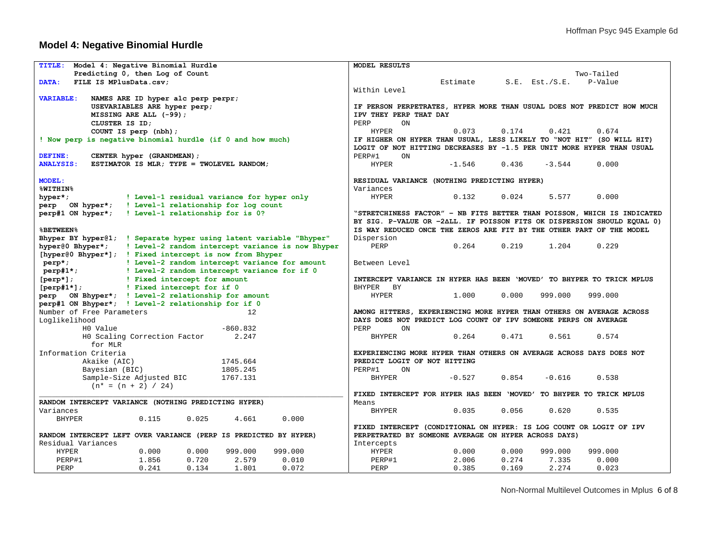## **Model 4: Negative Binomial Hurdle**

| <b>TITLE:</b>                                                                                                 | Model 4: Negative Binomial Hurdle                                                                                             |       |              |              | MODEL RESULTS |                                                      |          |            |                     |                                                                         |
|---------------------------------------------------------------------------------------------------------------|-------------------------------------------------------------------------------------------------------------------------------|-------|--------------|--------------|---------------|------------------------------------------------------|----------|------------|---------------------|-------------------------------------------------------------------------|
| Predicting 0, then Log of Count                                                                               |                                                                                                                               |       |              |              |               |                                                      |          | Two-Tailed |                     |                                                                         |
| DATA:                                                                                                         | FILE IS MPlusData.csv:                                                                                                        |       |              |              |               |                                                      | Estimate |            | $S.E.$ Est./ $S.E.$ | P-Value                                                                 |
|                                                                                                               |                                                                                                                               |       | Within Level |              |               |                                                      |          |            |                     |                                                                         |
| <b>VARIABLE:</b>                                                                                              | NAMES ARE ID hyper alc perp perpr;                                                                                            |       |              |              |               |                                                      |          |            |                     |                                                                         |
|                                                                                                               | USEVARIABLES ARE hyper perp;                                                                                                  |       |              |              |               |                                                      |          |            |                     | IF PERSON PERPETRATES, HYPER MORE THAN USUAL DOES NOT PREDICT HOW MUCH  |
|                                                                                                               | MISSING ARE ALL (-99);                                                                                                        |       |              |              |               | IPV THEY PERP THAT DAY                               |          |            |                     |                                                                         |
|                                                                                                               | CLUSTER IS ID;                                                                                                                |       |              |              | PERP          | ON                                                   |          |            |                     |                                                                         |
|                                                                                                               | COUNT IS perp (nbh);                                                                                                          |       |              |              | <b>HYPER</b>  |                                                      | 0.073    | 0.174      | 0.421               | 0.674                                                                   |
| ! Now perp is negative binomial hurdle (if 0 and how much)                                                    |                                                                                                                               |       |              |              |               |                                                      |          |            |                     | IF HIGHER ON HYPER THAN USUAL, LESS LIKELY TO "NOT HIT" (SO WILL HIT)   |
|                                                                                                               |                                                                                                                               |       |              |              |               |                                                      |          |            |                     | LOGIT OF NOT HITTING DECREASES BY -1.5 PER UNIT MORE HYPER THAN USUAL   |
|                                                                                                               |                                                                                                                               |       |              |              |               |                                                      |          |            |                     |                                                                         |
| DEFINE:                                                                                                       | CENTER hyper (GRANDMEAN);                                                                                                     |       |              |              | PERP#1        | <b>ON</b>                                            |          |            |                     |                                                                         |
| <b>ANALYSIS:</b>                                                                                              | ESTIMATOR IS MLR; TYPE = TWOLEVEL RANDOM;                                                                                     |       |              |              | <b>HYPER</b>  |                                                      | $-1.546$ | 0.436      | $-3.544$            | 0.000                                                                   |
|                                                                                                               |                                                                                                                               |       |              |              |               |                                                      |          |            |                     |                                                                         |
| <b>MODEL:</b>                                                                                                 |                                                                                                                               |       |              |              |               | RESIDUAL VARIANCE (NOTHING PREDICTING HYPER)         |          |            |                     |                                                                         |
| <b>%WITHIN%</b>                                                                                               |                                                                                                                               |       |              |              | Variances     |                                                      |          |            |                     |                                                                         |
| hyper*;                                                                                                       | ! Level-1 residual variance for hyper only                                                                                    |       |              |              | <b>HYPER</b>  |                                                      | 0.132    | 0.024      | 5.577               | 0.000                                                                   |
| ON hyper*;<br>perp                                                                                            | ! Level-1 relationship for log count                                                                                          |       |              |              |               |                                                      |          |            |                     |                                                                         |
| perp#1 ON hyper*;                                                                                             | ! Level-1 relationship for is 0?                                                                                              |       |              |              |               |                                                      |          |            |                     | "STRETCHINESS FACTOR" - NB FITS BETTER THAN POISSON, WHICH IS INDICATED |
|                                                                                                               |                                                                                                                               |       |              |              |               |                                                      |          |            |                     | BY SIG. P-VALUE OR -2ALL. IF POISSON FITS OK DISPERSION SHOULD EQUAL 0) |
| <b>&amp;BETWEEN%</b>                                                                                          |                                                                                                                               |       |              |              |               |                                                      |          |            |                     | IS WAY REDUCED ONCE THE ZEROS ARE FIT BY THE OTHER PART OF THE MODEL    |
| Bhyper BY hyper@1; ! Separate hyper using latent variable "Bhyper"                                            |                                                                                                                               |       |              |              | Dispersion    |                                                      |          |            |                     |                                                                         |
|                                                                                                               |                                                                                                                               |       |              |              | PERP          |                                                      | 0.264    | 0.219      | 1.204               | 0.229                                                                   |
|                                                                                                               | hyper@0 Bhyper*; ! Level-2 random intercept variance is now Bhyper<br>[hyper@0 Bhyper*]; ! Fixed intercept is now from Bhyper |       |              |              |               |                                                      |          |            |                     |                                                                         |
| perp*;                                                                                                        |                                                                                                                               |       |              |              | Between Level |                                                      |          |            |                     |                                                                         |
| ! Level-2 random intercept variance for amount<br>$perp$ #1*;<br>! Level-2 random intercept variance for if 0 |                                                                                                                               |       |              |              |               |                                                      |          |            |                     |                                                                         |
| $[perp]$ ;                                                                                                    |                                                                                                                               |       |              |              |               |                                                      |          |            |                     | INTERCEPT VARIANCE IN HYPER HAS BEEN 'MOVED' TO BHYPER TO TRICK MPLUS   |
| ! Fixed intercept for amount<br>$[perp 1*]$ ;<br>! Fixed intercept for if 0                                   |                                                                                                                               |       | BHYPER BY    |              |               |                                                      |          |            |                     |                                                                         |
|                                                                                                               |                                                                                                                               |       |              | <b>HYPER</b> |               | 1,000                                                | 0.000    | 999.000    | 999.000             |                                                                         |
| perp ON Bhyper*; ! Level-2 relationship for amount<br>perp#1 ON Bhyper*; ! Level-2 relationship for if 0      |                                                                                                                               |       |              |              |               |                                                      |          |            |                     |                                                                         |
| Number of Free Parameters                                                                                     |                                                                                                                               |       | 12           |              |               |                                                      |          |            |                     |                                                                         |
|                                                                                                               |                                                                                                                               |       |              |              |               |                                                      |          |            |                     | AMONG HITTERS, EXPERIENCING MORE HYPER THAN OTHERS ON AVERAGE ACROSS    |
| Loglikelihood                                                                                                 |                                                                                                                               |       |              |              |               |                                                      |          |            |                     | DAYS DOES NOT PREDICT LOG COUNT OF IPV SOMEONE PERPS ON AVERAGE         |
| H0 Value                                                                                                      |                                                                                                                               |       | $-860.832$   |              | PERP          | ON                                                   |          |            |                     |                                                                         |
|                                                                                                               | HO Scaling Correction Factor                                                                                                  |       | 2.247        |              | <b>BHYPER</b> |                                                      | 0.264    | 0.471      | 0.561               | 0.574                                                                   |
| for MLR                                                                                                       |                                                                                                                               |       |              |              |               |                                                      |          |            |                     |                                                                         |
| Information Criteria                                                                                          |                                                                                                                               |       |              |              |               |                                                      |          |            |                     | EXPERIENCING MORE HYPER THAN OTHERS ON AVERAGE ACROSS DAYS DOES NOT     |
|                                                                                                               | Akaike (AIC)                                                                                                                  |       | 1745.664     |              |               | PREDICT LOGIT OF NOT HITTING                         |          |            |                     |                                                                         |
|                                                                                                               | Bayesian (BIC)                                                                                                                |       | 1805.245     |              | PERP#1        | ON                                                   |          |            |                     |                                                                         |
|                                                                                                               | Sample-Size Adjusted BIC                                                                                                      |       | 1767.131     |              | <b>BHYPER</b> |                                                      | $-0.527$ | 0.854      | $-0.616$            | 0.538                                                                   |
|                                                                                                               | $(n* = (n + 2) / 24)$                                                                                                         |       |              |              |               |                                                      |          |            |                     |                                                                         |
|                                                                                                               |                                                                                                                               |       |              |              |               |                                                      |          |            |                     | FIXED INTERCEPT FOR HYPER HAS BEEN 'MOVED' TO BHYPER TO TRICK MPLUS     |
| RANDOM INTERCEPT VARIANCE (NOTHING PREDICTING HYPER)                                                          |                                                                                                                               |       |              |              | Means         |                                                      |          |            |                     |                                                                         |
| Variances                                                                                                     |                                                                                                                               |       |              |              | <b>BHYPER</b> |                                                      | 0.035    | 0.056      | 0.620               | 0.535                                                                   |
| <b>BHYPER</b>                                                                                                 | 0.115                                                                                                                         | 0.025 | 4.661        | 0.000        |               |                                                      |          |            |                     |                                                                         |
|                                                                                                               |                                                                                                                               |       |              |              |               |                                                      |          |            |                     | FIXED INTERCEPT (CONDITIONAL ON HYPER: IS LOG COUNT OR LOGIT OF IPV     |
| RANDOM INTERCEPT LEFT OVER VARIANCE (PERP IS PREDICTED BY HYPER)                                              |                                                                                                                               |       |              |              |               | PERPETRATED BY SOMEONE AVERAGE ON HYPER ACROSS DAYS) |          |            |                     |                                                                         |
| Residual Variances                                                                                            |                                                                                                                               |       |              |              | Intercepts    |                                                      |          |            |                     |                                                                         |
| <b>HYPER</b>                                                                                                  | 0.000                                                                                                                         | 0.000 | 999.000      | 999.000      | <b>HYPER</b>  |                                                      | 0.000    | 0.000      | 999.000             | 999.000                                                                 |
| PERP#1                                                                                                        | 1.856                                                                                                                         | 0.720 | 2.579        | 0.010        | PERP#1        |                                                      | 2.006    | 0.274      | 7.335               | 0.000                                                                   |
| PERP                                                                                                          | 0.241                                                                                                                         | 0.134 | 1.801        | 0.072        | PERP          |                                                      | 0.385    | 0.169      | 2.274               | 0.023                                                                   |
|                                                                                                               |                                                                                                                               |       |              |              |               |                                                      |          |            |                     |                                                                         |

Non-Normal Multilevel Outcomes in Mplus 6 of 8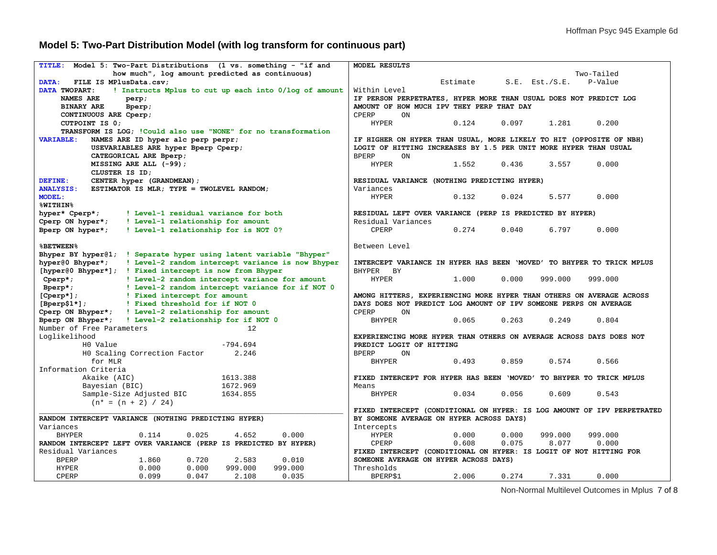# **Model 5: Two-Part Distribution Model (with log transform for continuous part)**

| Model 5: Two-Part Distributions (1 vs. something - "if and<br><b>TITLE:</b> | MODEL RESULTS                                                           |  |  |  |  |
|-----------------------------------------------------------------------------|-------------------------------------------------------------------------|--|--|--|--|
| how much", log amount predicted as continuous)                              | Two-Tailed                                                              |  |  |  |  |
| FILE IS MPlusData.csv;<br>DATA:                                             | Estimate<br>P-Value<br>$S.E.$ Est./ $S.E.$                              |  |  |  |  |
| DATA TWOPART:<br>! Instructs Mplus to cut up each into 0/log of amount      | Within Level                                                            |  |  |  |  |
| <b>NAMES ARE</b><br>perp;                                                   | IF PERSON PERPETRATES, HYPER MORE THAN USUAL DOES NOT PREDICT LOG       |  |  |  |  |
| <b>BINARY ARE</b><br>Bperp;                                                 | AMOUNT OF HOW MUCH IPV THEY PERP THAT DAY                               |  |  |  |  |
| CONTINUOUS ARE Cperp;                                                       | CPERP<br>ON                                                             |  |  |  |  |
| CUTPOINT IS 0;                                                              | <b>HYPER</b><br>0.124<br>0.097<br>1.281<br>0.200                        |  |  |  |  |
| TRANSFORM IS LOG; ! Could also use "NONE" for no transformation             |                                                                         |  |  |  |  |
| <b>VARIABLE:</b><br>NAMES ARE ID hyper alc perp perpr;                      | IF HIGHER ON HYPER THAN USUAL, MORE LIKELY TO HIT (OPPOSITE OF NBH)     |  |  |  |  |
| USEVARIABLES ARE hyper Bperp Cperp;                                         | LOGIT OF HITTING INCREASES BY 1.5 PER UNIT MORE HYPER THAN USUAL        |  |  |  |  |
| CATEGORICAL ARE Bperp;                                                      | <b>BPERP</b><br>ON                                                      |  |  |  |  |
| MISSING ARE ALL (-99);                                                      | 0.436<br>3.557<br>0.000<br><b>HYPER</b><br>1.552                        |  |  |  |  |
| CLUSTER IS ID:                                                              |                                                                         |  |  |  |  |
| DEFINE:<br>CENTER hyper (GRANDMEAN);                                        | RESIDUAL VARIANCE (NOTHING PREDICTING HYPER)                            |  |  |  |  |
| <b>ANALYSIS:</b><br>ESTIMATOR IS MLR; TYPE = TWOLEVEL RANDOM;               | Variances                                                               |  |  |  |  |
| <b>MODEL:</b>                                                               | <b>HYPER</b><br>0.132<br>5.577<br>0.000                                 |  |  |  |  |
|                                                                             | 0.024                                                                   |  |  |  |  |
| <b>%WITHIN%</b>                                                             |                                                                         |  |  |  |  |
| hyper* Cperp*;<br>! Level-1 residual variance for both                      | RESIDUAL LEFT OVER VARIANCE (PERP IS PREDICTED BY HYPER)                |  |  |  |  |
| Cperp ON hyper*;<br>! Level-1 relationship for amount                       | Residual Variances                                                      |  |  |  |  |
| Bperp ON hyper*;<br>! Level-1 relationship for is NOT 0?                    | CPERP<br>0.274<br>0.040<br>6.797<br>0.000                               |  |  |  |  |
|                                                                             |                                                                         |  |  |  |  |
| <b>&amp;BETWEEN%</b>                                                        | Between Level                                                           |  |  |  |  |
| Bhyper BY hyper(1; ! Separate hyper using latent variable "Bhyper"          |                                                                         |  |  |  |  |
| hyper@0 Bhyper*;<br>! Level-2 random intercept variance is now Bhyper       | INTERCEPT VARIANCE IN HYPER HAS BEEN 'MOVED' TO BHYPER TO TRICK MPLUS   |  |  |  |  |
| [hyper@0 Bhyper*]; ! Fixed intercept is now from Bhyper                     | BHYPER BY                                                               |  |  |  |  |
| ! Level-2 random intercept variance for amount<br>$Cperp$ ;                 | <b>HYPER</b><br>0.000<br>1,000<br>999.000<br>999,000                    |  |  |  |  |
| ! Level-2 random intercept variance for if NOT 0<br>$Bperp$ ;               |                                                                         |  |  |  |  |
| $[Cperp]$ ;<br>! Fixed intercept for amount                                 | AMONG HITTERS, EXPERIENCING MORE HYPER THAN OTHERS ON AVERAGE ACROSS    |  |  |  |  |
| $[Berp$1*];$<br>! Fixed threshold for if NOT 0                              | DAYS DOES NOT PREDICT LOG AMOUNT OF IPV SOMEONE PERPS ON AVERAGE        |  |  |  |  |
| Cperp ON Bhyper*; ! Level-2 relationship for amount                         | CPERP<br>ON                                                             |  |  |  |  |
| Bperp ON Bhyper*; ! Level-2 relationship for if NOT 0                       | 0.263<br>0.249<br>0.804<br><b>BHYPER</b><br>0.065                       |  |  |  |  |
| Number of Free Parameters<br>12                                             |                                                                         |  |  |  |  |
| Loglikelihood                                                               | EXPERIENCING MORE HYPER THAN OTHERS ON AVERAGE ACROSS DAYS DOES NOT     |  |  |  |  |
| $-794.694$<br>HO Value                                                      | PREDICT LOGIT OF HITTING                                                |  |  |  |  |
| HO Scaling Correction Factor<br>2.246                                       | <b>BPERP</b><br>ON                                                      |  |  |  |  |
| for MLR                                                                     | 0.859<br>0.566<br><b>BHYPER</b><br>0.493<br>0.574                       |  |  |  |  |
| Information Criteria                                                        |                                                                         |  |  |  |  |
| 1613.388<br>Akaike (AIC)                                                    | FIXED INTERCEPT FOR HYPER HAS BEEN 'MOVED' TO BHYPER TO TRICK MPLUS     |  |  |  |  |
| 1672.969<br>Bayesian (BIC)                                                  | Means                                                                   |  |  |  |  |
| Sample-Size Adjusted BIC<br>1634.855                                        | <b>BHYPER</b><br>0.034<br>0.056<br>0.609<br>0.543                       |  |  |  |  |
| $(n* = (n + 2) / 24)$                                                       |                                                                         |  |  |  |  |
|                                                                             | FIXED INTERCEPT (CONDITIONAL ON HYPER: IS LOG AMOUNT OF IPV PERPETRATED |  |  |  |  |
| RANDOM INTERCEPT VARIANCE (NOTHING PREDICTING HYPER)                        | BY SOMEONE AVERAGE ON HYPER ACROSS DAYS)                                |  |  |  |  |
| Variances                                                                   | Intercepts                                                              |  |  |  |  |
| <b>BHYPER</b><br>0.025<br>4.652<br>0.000<br>0.114                           | <b>HYPER</b><br>0.000<br>0.000<br>999.000<br>999.000                    |  |  |  |  |
| RANDOM INTERCEPT LEFT OVER VARIANCE (PERP IS PREDICTED BY HYPER)            | 0.608<br>0.075<br>CPERP<br>8.077<br>0.000                               |  |  |  |  |
| Residual Variances                                                          | FIXED INTERCEPT (CONDITIONAL ON HYPER: IS LOGIT OF NOT HITTING FOR      |  |  |  |  |
| 0.720<br><b>BPERP</b><br>1.860<br>2.583<br>0.010                            | SOMEONE AVERAGE ON HYPER ACROSS DAYS)                                   |  |  |  |  |
| 0.000<br>0.000<br><b>HYPER</b><br>999.000<br>999.000                        | Thresholds                                                              |  |  |  |  |
| <b>CPERP</b><br>0.099<br>0.047<br>2.108<br>0.035                            | 0.000<br>BPERPS1<br>2.006<br>0.274<br>7.331                             |  |  |  |  |

Non-Normal Multilevel Outcomes in Mplus 7 of 8